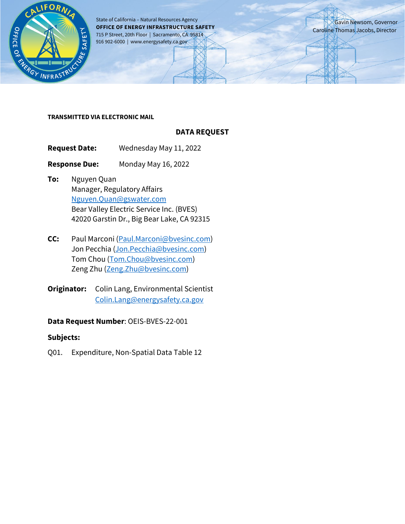

State of California – Natural Resources Agency **OFFICE OF ENERGY INFRASTRUCTURE SAFETY** 715 P Street, 20th Floor | Sacramento, CA 95814 916 902-6000 | www.energysafety.ca.gov

Gavin Newsom, Governor Caroline Thomas Jacobs, Director

#### **TRANSMITTED VIA ELECTRONIC MAIL**

## **DATA REQUEST**

**Request Date:** Wednesday May 11, 2022

**Response Due:** Monday May 16, 2022

- **To:** Nguyen Quan Manager, Regulatory Affairs [Nguyen.Quan@gswater.com](mailto:Nguyen.Quan@gswater.com) Bear Valley Electric Service Inc. (BVES) 42020 Garstin Dr., Big Bear Lake, CA 92315
- **CC:** Paul Marconi [\(Paul.Marconi@bvesinc.com\)](mailto:Paul.Marconi@bvesinc.com) Jon Pecchia [\(Jon.Pecchia@bvesinc.com\)](mailto:Jon.Pecchia@bvesinc.com) Tom Chou [\(Tom.Chou@bvesinc.com\)](mailto:Tom.Chou@bvesinc.com) Zeng Zhu [\(Zeng.Zhu@bvesinc.com\)](mailto:Zeng.Zhu@bvesinc.com)
- **Originator:** Colin Lang, Environmental Scientist [Colin.Lang@energysafety.ca.gov](mailto:Colin.Lang@energysafety.ca.gov)

## **Data Request Number**: OEIS-BVES-22-001

## **Subjects:**

Q01. Expenditure, Non-Spatial Data Table 12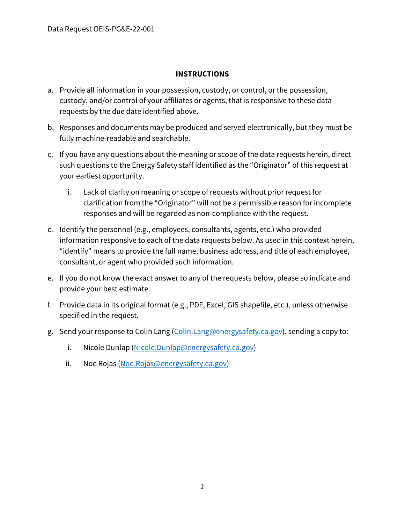## **INSTRUCTIONS**

- a. Provide all information in your possession, custody, or control, or the possession, custody, and/or control of your affiliates or agents, that is responsive to these data requests by the due date identified above.
- b. Responses and documents may be produced and served electronically, but they must be fully machine-readable and searchable.
- c. If you have any questions about the meaning or scope of the data requests herein, direct such questions to the Energy Safety staff identified as the "Originator" of this request at your earliest opportunity.
	- i. Lack of clarity on meaning or scope of requests without prior request for clarification from the "Originator" will not be a permissible reason for incomplete responses and will be regarded as non-compliance with the request.
- d. Identify the personnel (e.g., employees, consultants, agents, etc.) who provided information responsive to each of the data requests below. As used in this context herein, "identify" means to provide the full name, business address, and title of each employee, consultant, or agent who provided such information.
- e. If you do not know the exact answer to any of the requests below, please so indicate and provide your best estimate.
- f. Provide data in its original format (e.g., PDF, Excel, GIS shapefile, etc.), unless otherwise specified in the request.
- g. Send your response to Colin Lang [\(Colin.Lang@energysafety.ca.gov\)](mailto:Colin.Lang@energysafety.ca.gov), sending a copy to:
	- i. Nicole Dunlap [\(Nicole.Dunlap@energysafety.ca.gov\)](mailto:nicole.dunlap@energysafety.ca.gov)
	- ii. Noe Rojas [\(Noe.Rojas@energysafety.ca.gov\)](mailto:noe.rojas@energysafety.ca.gov)